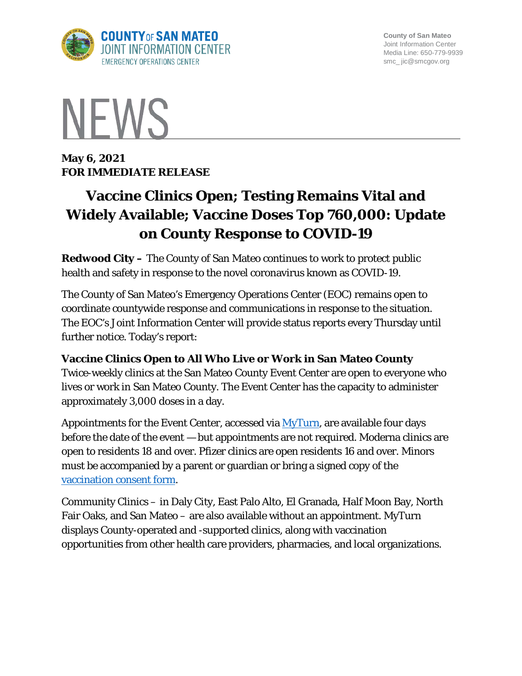

**County of San Mateo** Joint Information Center Media Line: 650-779-9939 smc\_ jic@smcgov.org



**May 6, 2021 FOR IMMEDIATE RELEASE** 

# **Vaccine Clinics Open; Testing Remains Vital and Widely Available; Vaccine Doses Top 760,000: Update on County Response to COVID-19**

**Redwood City –** The County of San Mateo continues to work to protect public health and safety in response to the novel coronavirus known as COVID-19.

The County of San Mateo's Emergency Operations Center (EOC) remains open to coordinate countywide response and communications in response to the situation. The EOC's Joint Information Center will provide status reports every Thursday until further notice. Today's report:

#### **Vaccine Clinics Open to All Who Live or Work in San Mateo County**

Twice-weekly clinics at the San Mateo County Event Center are open to everyone who lives or work in San Mateo County. The Event Center has the capacity to administer approximately 3,000 doses in a day.

Appointments for the Event Center, accessed via  $MvTurn$ , are available four days before the date of the event — but appointments are not required. Moderna clinics are open to residents 18 and over. Pfizer clinics are open residents 16 and over. Minors must be accompanied by a parent or guardian or bring a signed copy of the [vaccination consent form.](https://www.smchealth.org/post/covid-19-vaccination-consent-form)

Community Clinics – in Daly City, East Palo Alto, El Granada, Half Moon Bay, North Fair Oaks, and San Mateo – are also available without an appointment. MyTurn displays County-operated and -supported clinics, along with vaccination opportunities from other health care providers, pharmacies, and local organizations.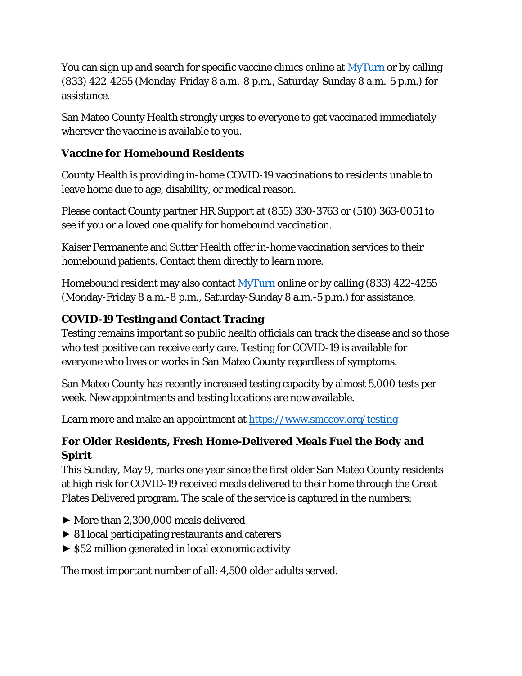You can sign up and search for specific vaccine clinics online at [MyTurn](https://myturn.ca.gov/landing) or by calling (833) 422-4255 (Monday-Friday 8 a.m.-8 p.m., Saturday-Sunday 8 a.m.-5 p.m.) for assistance.

San Mateo County Health strongly urges to everyone to get vaccinated immediately wherever the vaccine is available to you.

#### **Vaccine for Homebound Residents**

County Health is providing in-home COVID-19 vaccinations to residents unable to leave home due to age, disability, or medical reason.

Please contact County partner HR Support at (855) 330-3763 or (510) 363-0051 to see if you or a loved one qualify for homebound vaccination.

Kaiser Permanente and Sutter Health offer in-home vaccination services to their homebound patients. Contact them directly to learn more.

Homebound resident may also contact [MyTurn](https://myturn.ca.gov/landing) online or by calling (833) 422-4255 (Monday-Friday 8 a.m.-8 p.m., Saturday-Sunday 8 a.m.-5 p.m.) for assistance.

# **COVID-19 Testing and Contact Tracing**

Testing remains important so public health officials can track the disease and so those who test positive can receive early care. Testing for COVID-19 is available for everyone who lives or works in San Mateo County regardless of symptoms.

San Mateo County has recently increased testing capacity by almost 5,000 tests per week. New appointments and testing locations are now available.

Learn more and make an appointment at<https://www.smcgov.org/testing>

# **For Older Residents, Fresh Home-Delivered Meals Fuel the Body and Spirit**

This Sunday, May 9, marks one year since the first older San Mateo County residents at high risk for COVID-19 received meals delivered to their home through the Great Plates Delivered program. The scale of the service is captured in the numbers:

- ► More than 2,300,000 meals delivered
- ► 81 local participating restaurants and caterers
- ► \$52 million generated in local economic activity

The most important number of all: 4,500 older adults served.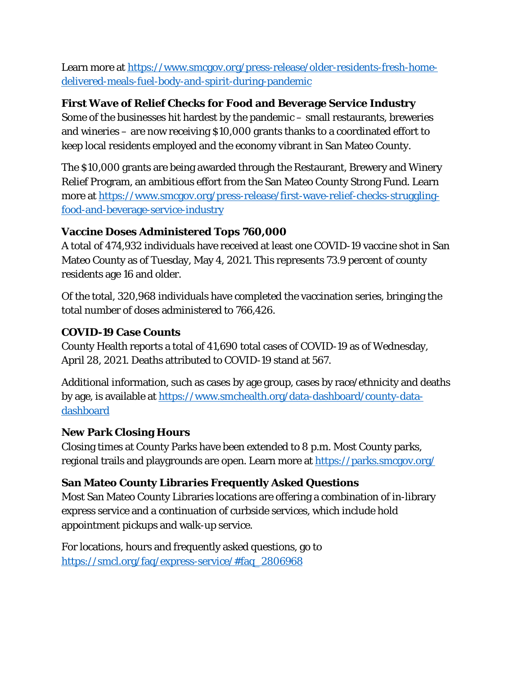Learn more at [https://www.smcgov.org/press-release/older-residents-fresh-home](https://www.smcgov.org/press-release/older-residents-fresh-home-delivered-meals-fuel-body-and-spirit-during-pandemic)[delivered-meals-fuel-body-and-spirit-during-pandemic](https://www.smcgov.org/press-release/older-residents-fresh-home-delivered-meals-fuel-body-and-spirit-during-pandemic)

#### **First Wave of Relief Checks for Food and Beverage Service Industry**

Some of the businesses hit hardest by the pandemic – small restaurants, breweries and wineries – are now receiving \$10,000 grants thanks to a coordinated effort to keep local residents employed and the economy vibrant in San Mateo County.

The \$10,000 grants are being awarded through the Restaurant, Brewery and Winery Relief Program, an ambitious effort from the San Mateo County Strong Fund. Learn more at [https://www.smcgov.org/press-release/first-wave-relief-checks-struggling](https://www.smcgov.org/press-release/first-wave-relief-checks-struggling-food-and-beverage-service-industry)[food-and-beverage-service-industry](https://www.smcgov.org/press-release/first-wave-relief-checks-struggling-food-and-beverage-service-industry)

# **Vaccine Doses Administered Tops 760,000**

A total of 474,932 individuals have received at least one COVID-19 vaccine shot in San Mateo County as of Tuesday, May 4, 2021. This represents 73.9 percent of county residents age 16 and older.

Of the total, 320,968 individuals have completed the vaccination series, bringing the total number of doses administered to 766,426.

# **COVID-19 Case Counts**

County Health reports a total of 41,690 total cases of COVID-19 as of Wednesday, April 28, 2021. Deaths attributed to COVID-19 stand at 567.

Additional information, such as cases by age group, cases by race/ethnicity and deaths by age, is available at [https://www.smchealth.org/data-dashboard/county-data](https://www.smchealth.org/data-dashboard/county-data-dashboard)[dashboard](https://www.smchealth.org/data-dashboard/county-data-dashboard)

#### **New Park Closing Hours**

Closing times at County Parks have been extended to 8 p.m. Most County parks, regional trails and playgrounds are open. Learn more at<https://parks.smcgov.org/>

# **San Mateo County Libraries Frequently Asked Questions**

Most San Mateo County Libraries locations are offering a combination of in-library express service and a continuation of curbside services, which include hold appointment pickups and walk-up service.

For locations, hours and frequently asked questions, go to [https://smcl.org/faq/express-service/#faq\\_2806968](https://smcl.org/faq/express-service/#faq_2806968)